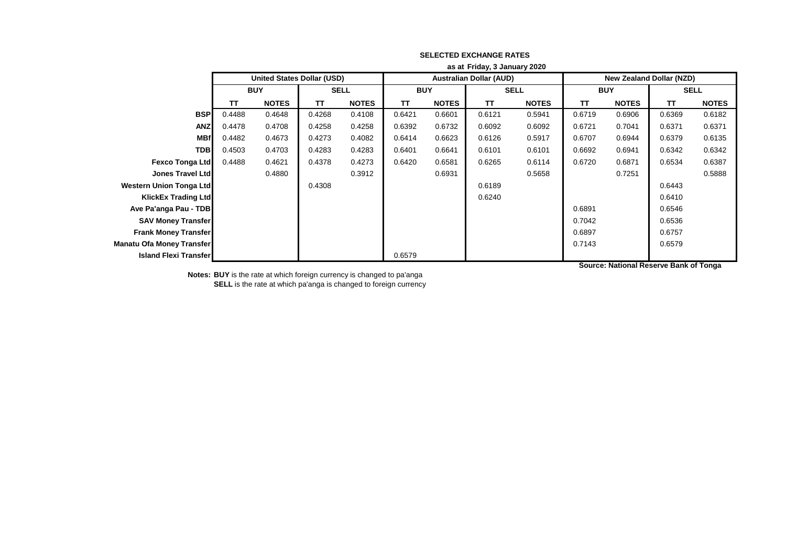|                                  | as at Friday, 3 January 2020 |                                   |             |              |            |              |                                |              |                                 |              |             |              |  |
|----------------------------------|------------------------------|-----------------------------------|-------------|--------------|------------|--------------|--------------------------------|--------------|---------------------------------|--------------|-------------|--------------|--|
|                                  |                              | <b>United States Dollar (USD)</b> |             |              |            |              | <b>Australian Dollar (AUD)</b> |              | <b>New Zealand Dollar (NZD)</b> |              |             |              |  |
|                                  | <b>BUY</b>                   |                                   | <b>SELL</b> |              | <b>BUY</b> |              | <b>SELL</b>                    |              | <b>BUY</b>                      |              | <b>SELL</b> |              |  |
|                                  | <b>TT</b>                    | <b>NOTES</b>                      | <b>TT</b>   | <b>NOTES</b> | TΤ         | <b>NOTES</b> | <b>TT</b>                      | <b>NOTES</b> | <b>TT</b>                       | <b>NOTES</b> | <b>TT</b>   | <b>NOTES</b> |  |
| <b>BSP</b>                       | 0.4488                       | 0.4648                            | 0.4268      | 0.4108       | 0.6421     | 0.6601       | 0.6121                         | 0.5941       | 0.6719                          | 0.6906       | 0.6369      | 0.6182       |  |
| <b>ANZ</b>                       | 0.4478                       | 0.4708                            | 0.4258      | 0.4258       | 0.6392     | 0.6732       | 0.6092                         | 0.6092       | 0.6721                          | 0.7041       | 0.6371      | 0.6371       |  |
| <b>MBf</b>                       | 0.4482                       | 0.4673                            | 0.4273      | 0.4082       | 0.6414     | 0.6623       | 0.6126                         | 0.5917       | 0.6707                          | 0.6944       | 0.6379      | 0.6135       |  |
| <b>TDB</b>                       | 0.4503                       | 0.4703                            | 0.4283      | 0.4283       | 0.6401     | 0.6641       | 0.6101                         | 0.6101       | 0.6692                          | 0.6941       | 0.6342      | 0.6342       |  |
| <b>Fexco Tonga Ltd</b>           | 0.4488                       | 0.4621                            | 0.4378      | 0.4273       | 0.6420     | 0.6581       | 0.6265                         | 0.6114       | 0.6720                          | 0.6871       | 0.6534      | 0.6387       |  |
| <b>Jones Travel Ltd</b>          |                              | 0.4880                            |             | 0.3912       |            | 0.6931       |                                | 0.5658       |                                 | 0.7251       |             | 0.5888       |  |
| Western Union Tonga Ltd          |                              |                                   | 0.4308      |              |            |              | 0.6189                         |              |                                 |              | 0.6443      |              |  |
| <b>KlickEx Trading Ltd</b>       |                              |                                   |             |              |            |              | 0.6240                         |              |                                 |              | 0.6410      |              |  |
| Ave Pa'anga Pau - TDB            |                              |                                   |             |              |            |              |                                |              | 0.6891                          |              | 0.6546      |              |  |
| <b>SAV Money Transfer</b>        |                              |                                   |             |              |            |              |                                |              | 0.7042                          |              | 0.6536      |              |  |
| <b>Frank Money Transfer</b>      |                              |                                   |             |              |            |              |                                |              | 0.6897                          |              | 0.6757      |              |  |
| <b>Manatu Ofa Money Transfer</b> |                              |                                   |             |              |            |              |                                |              | 0.7143                          |              | 0.6579      |              |  |
| <b>Island Flexi Transfer</b>     |                              |                                   |             |              | 0.6579     |              |                                |              |                                 |              |             |              |  |

**Notes: BUY** is the rate at which foreign currency is changed to pa'anga **SELL** is the rate at which pa'anga is changed to foreign currency **Source: National Reserve Bank of Tonga**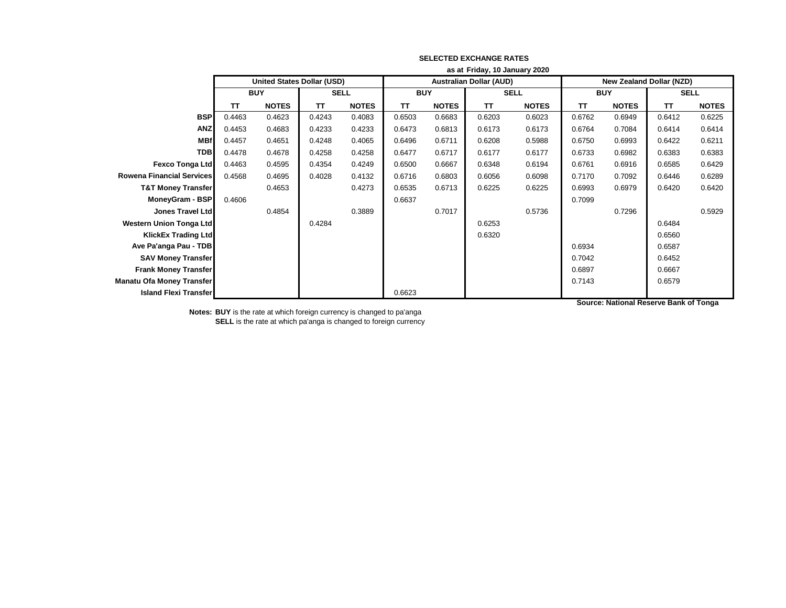|                                  | as at Friday, 10 January 2020     |              |             |              |            |              |                                |              |                          |              |             |              |  |
|----------------------------------|-----------------------------------|--------------|-------------|--------------|------------|--------------|--------------------------------|--------------|--------------------------|--------------|-------------|--------------|--|
|                                  | <b>United States Dollar (USD)</b> |              |             |              |            |              | <b>Australian Dollar (AUD)</b> |              | New Zealand Dollar (NZD) |              |             |              |  |
|                                  | <b>BUY</b>                        |              | <b>SELL</b> |              | <b>BUY</b> |              | <b>SELL</b>                    |              | <b>BUY</b>               |              | <b>SELL</b> |              |  |
|                                  | TΤ                                | <b>NOTES</b> | <b>TT</b>   | <b>NOTES</b> | ΤT         | <b>NOTES</b> | <b>TT</b>                      | <b>NOTES</b> | TΤ                       | <b>NOTES</b> | TT          | <b>NOTES</b> |  |
| <b>BSP</b>                       | 0.4463                            | 0.4623       | 0.4243      | 0.4083       | 0.6503     | 0.6683       | 0.6203                         | 0.6023       | 0.6762                   | 0.6949       | 0.6412      | 0.6225       |  |
| <b>ANZ</b>                       | 0.4453                            | 0.4683       | 0.4233      | 0.4233       | 0.6473     | 0.6813       | 0.6173                         | 0.6173       | 0.6764                   | 0.7084       | 0.6414      | 0.6414       |  |
| <b>MBf</b>                       | 0.4457                            | 0.4651       | 0.4248      | 0.4065       | 0.6496     | 0.6711       | 0.6208                         | 0.5988       | 0.6750                   | 0.6993       | 0.6422      | 0.6211       |  |
| <b>TDB</b>                       | 0.4478                            | 0.4678       | 0.4258      | 0.4258       | 0.6477     | 0.6717       | 0.6177                         | 0.6177       | 0.6733                   | 0.6982       | 0.6383      | 0.6383       |  |
| <b>Fexco Tonga Ltd</b>           | 0.4463                            | 0.4595       | 0.4354      | 0.4249       | 0.6500     | 0.6667       | 0.6348                         | 0.6194       | 0.6761                   | 0.6916       | 0.6585      | 0.6429       |  |
| <b>Rowena Financial Services</b> | 0.4568                            | 0.4695       | 0.4028      | 0.4132       | 0.6716     | 0.6803       | 0.6056                         | 0.6098       | 0.7170                   | 0.7092       | 0.6446      | 0.6289       |  |
| <b>T&amp;T Money Transfer</b>    |                                   | 0.4653       |             | 0.4273       | 0.6535     | 0.6713       | 0.6225                         | 0.6225       | 0.6993                   | 0.6979       | 0.6420      | 0.6420       |  |
| <b>MoneyGram - BSP</b>           | 0.4606                            |              |             |              | 0.6637     |              |                                |              | 0.7099                   |              |             |              |  |
| Jones Travel Ltd                 |                                   | 0.4854       |             | 0.3889       |            | 0.7017       |                                | 0.5736       |                          | 0.7296       |             | 0.5929       |  |
| <b>Western Union Tonga Ltd</b>   |                                   |              | 0.4284      |              |            |              | 0.6253                         |              |                          |              | 0.6484      |              |  |
| <b>KlickEx Trading Ltd</b>       |                                   |              |             |              |            |              | 0.6320                         |              |                          |              | 0.6560      |              |  |
| Ave Pa'anga Pau - TDB            |                                   |              |             |              |            |              |                                |              | 0.6934                   |              | 0.6587      |              |  |
| <b>SAV Money Transfer</b>        |                                   |              |             |              |            |              |                                |              | 0.7042                   |              | 0.6452      |              |  |
| <b>Frank Money Transfer</b>      |                                   |              |             |              |            |              |                                |              | 0.6897                   |              | 0.6667      |              |  |
| <b>Manatu Ofa Money Transfer</b> |                                   |              |             |              |            |              |                                |              | 0.7143                   |              | 0.6579      |              |  |
| <b>Island Flexi Transfer</b>     |                                   |              |             |              | 0.6623     |              |                                |              |                          |              |             |              |  |

**Source: National Reserve Bank of Tonga**

**Notes: BUY** is the rate at which foreign currency is changed to pa'anga

**SELL** is the rate at which pa'anga is changed to foreign currency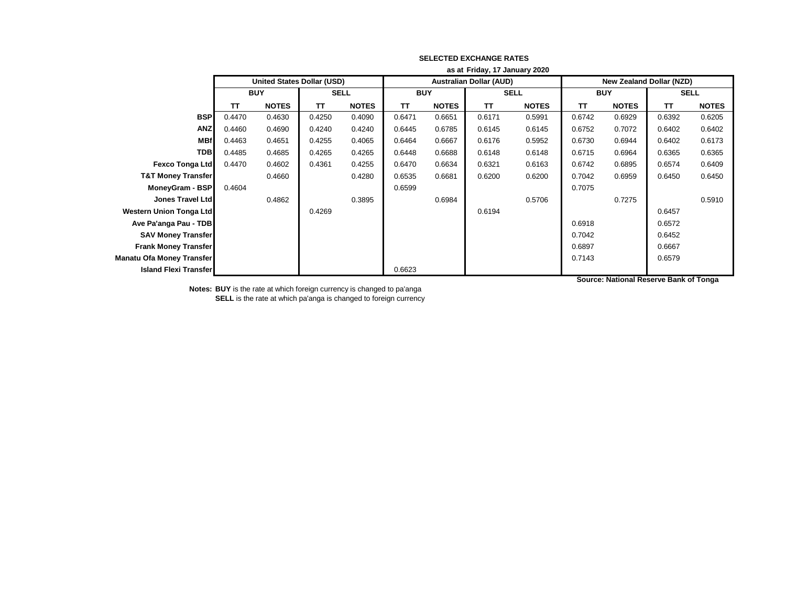|                                  | as at Friday, 17 January 2020 |                                   |             |              |            |              |                                |              |                                 |              |             |              |  |
|----------------------------------|-------------------------------|-----------------------------------|-------------|--------------|------------|--------------|--------------------------------|--------------|---------------------------------|--------------|-------------|--------------|--|
|                                  |                               | <b>United States Dollar (USD)</b> |             |              |            |              | <b>Australian Dollar (AUD)</b> |              | <b>New Zealand Dollar (NZD)</b> |              |             |              |  |
|                                  | <b>BUY</b>                    |                                   | <b>SELL</b> |              | <b>BUY</b> |              | <b>SELL</b>                    |              | <b>BUY</b>                      |              | <b>SELL</b> |              |  |
|                                  | <b>TT</b>                     | <b>NOTES</b>                      | TΤ          | <b>NOTES</b> | ΤT         | <b>NOTES</b> | <b>TT</b>                      | <b>NOTES</b> | TΤ                              | <b>NOTES</b> | TΤ          | <b>NOTES</b> |  |
| <b>BSP</b>                       | 0.4470                        | 0.4630                            | 0.4250      | 0.4090       | 0.6471     | 0.6651       | 0.6171                         | 0.5991       | 0.6742                          | 0.6929       | 0.6392      | 0.6205       |  |
| <b>ANZ</b>                       | 0.4460                        | 0.4690                            | 0.4240      | 0.4240       | 0.6445     | 0.6785       | 0.6145                         | 0.6145       | 0.6752                          | 0.7072       | 0.6402      | 0.6402       |  |
| <b>MBf</b>                       | 0.4463                        | 0.4651                            | 0.4255      | 0.4065       | 0.6464     | 0.6667       | 0.6176                         | 0.5952       | 0.6730                          | 0.6944       | 0.6402      | 0.6173       |  |
| <b>TDB</b>                       | 0.4485                        | 0.4685                            | 0.4265      | 0.4265       | 0.6448     | 0.6688       | 0.6148                         | 0.6148       | 0.6715                          | 0.6964       | 0.6365      | 0.6365       |  |
| <b>Fexco Tonga Ltd</b>           | 0.4470                        | 0.4602                            | 0.4361      | 0.4255       | 0.6470     | 0.6634       | 0.6321                         | 0.6163       | 0.6742                          | 0.6895       | 0.6574      | 0.6409       |  |
| <b>T&amp;T Money Transfer</b>    |                               | 0.4660                            |             | 0.4280       | 0.6535     | 0.6681       | 0.6200                         | 0.6200       | 0.7042                          | 0.6959       | 0.6450      | 0.6450       |  |
| MoneyGram - BSP                  | 0.4604                        |                                   |             |              | 0.6599     |              |                                |              | 0.7075                          |              |             |              |  |
| Jones Travel Ltd                 |                               | 0.4862                            |             | 0.3895       |            | 0.6984       |                                | 0.5706       |                                 | 0.7275       |             | 0.5910       |  |
| <b>Western Union Tonga Ltd</b>   |                               |                                   | 0.4269      |              |            |              | 0.6194                         |              |                                 |              | 0.6457      |              |  |
| Ave Pa'anga Pau - TDB            |                               |                                   |             |              |            |              |                                |              | 0.6918                          |              | 0.6572      |              |  |
| <b>SAV Money Transfer</b>        |                               |                                   |             |              |            |              |                                |              | 0.7042                          |              | 0.6452      |              |  |
| <b>Frank Money Transfer</b>      |                               |                                   |             |              |            |              |                                |              | 0.6897                          |              | 0.6667      |              |  |
| <b>Manatu Ofa Money Transfer</b> |                               |                                   |             |              |            |              |                                |              | 0.7143                          |              | 0.6579      |              |  |
| <b>Island Flexi Transfer</b>     |                               |                                   |             |              | 0.6623     |              |                                |              |                                 |              |             |              |  |

**Notes: BUY** is the rate at which foreign currency is changed to pa'anga **SELL** is the rate at which pa'anga is changed to foreign currency **Source: National Reserve Bank of Tonga**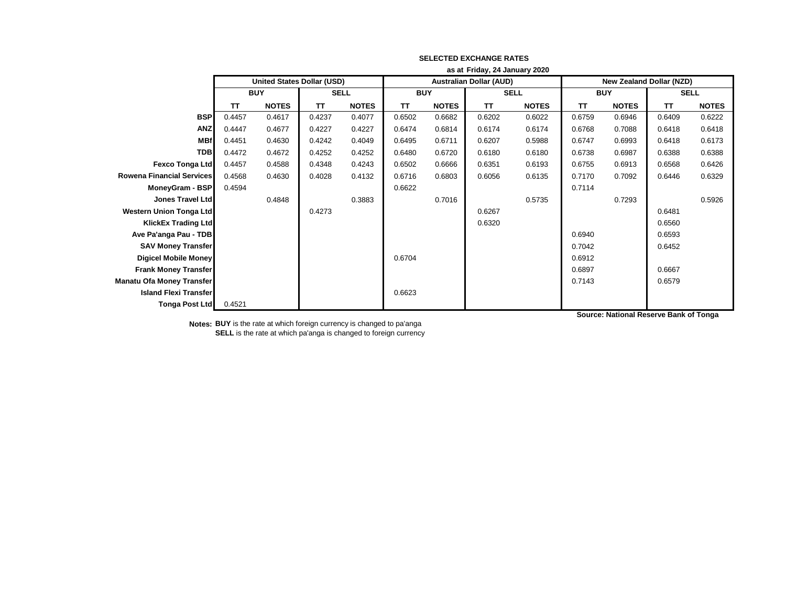|                                  | as at Friday, 24 January 2020     |              |             |              |            |                                |             |              |            |                                 |             |              |  |
|----------------------------------|-----------------------------------|--------------|-------------|--------------|------------|--------------------------------|-------------|--------------|------------|---------------------------------|-------------|--------------|--|
|                                  | <b>United States Dollar (USD)</b> |              |             |              |            | <b>Australian Dollar (AUD)</b> |             |              |            | <b>New Zealand Dollar (NZD)</b> |             |              |  |
|                                  | <b>BUY</b>                        |              | <b>SELL</b> |              | <b>BUY</b> |                                | <b>SELL</b> |              | <b>BUY</b> |                                 | <b>SELL</b> |              |  |
|                                  | ΤT                                | <b>NOTES</b> | <b>TT</b>   | <b>NOTES</b> | <b>TT</b>  | <b>NOTES</b>                   | <b>TT</b>   | <b>NOTES</b> | TT         | <b>NOTES</b>                    | <b>TT</b>   | <b>NOTES</b> |  |
| <b>BSP</b>                       | 0.4457                            | 0.4617       | 0.4237      | 0.4077       | 0.6502     | 0.6682                         | 0.6202      | 0.6022       | 0.6759     | 0.6946                          | 0.6409      | 0.6222       |  |
| <b>ANZ</b>                       | 0.4447                            | 0.4677       | 0.4227      | 0.4227       | 0.6474     | 0.6814                         | 0.6174      | 0.6174       | 0.6768     | 0.7088                          | 0.6418      | 0.6418       |  |
| <b>MBf</b>                       | 0.4451                            | 0.4630       | 0.4242      | 0.4049       | 0.6495     | 0.6711                         | 0.6207      | 0.5988       | 0.6747     | 0.6993                          | 0.6418      | 0.6173       |  |
| <b>TDB</b>                       | 0.4472                            | 0.4672       | 0.4252      | 0.4252       | 0.6480     | 0.6720                         | 0.6180      | 0.6180       | 0.6738     | 0.6987                          | 0.6388      | 0.6388       |  |
| <b>Fexco Tonga Ltd</b>           | 0.4457                            | 0.4588       | 0.4348      | 0.4243       | 0.6502     | 0.6666                         | 0.6351      | 0.6193       | 0.6755     | 0.6913                          | 0.6568      | 0.6426       |  |
| <b>Rowena Financial Services</b> | 0.4568                            | 0.4630       | 0.4028      | 0.4132       | 0.6716     | 0.6803                         | 0.6056      | 0.6135       | 0.7170     | 0.7092                          | 0.6446      | 0.6329       |  |
| MoneyGram - BSP                  | 0.4594                            |              |             |              | 0.6622     |                                |             |              | 0.7114     |                                 |             |              |  |
| Jones Travel Ltd                 |                                   | 0.4848       |             | 0.3883       |            | 0.7016                         |             | 0.5735       |            | 0.7293                          |             | 0.5926       |  |
| <b>Western Union Tonga Ltd</b>   |                                   |              | 0.4273      |              |            |                                | 0.6267      |              |            |                                 | 0.6481      |              |  |
| <b>KlickEx Trading Ltd</b>       |                                   |              |             |              |            |                                | 0.6320      |              |            |                                 | 0.6560      |              |  |
| Ave Pa'anga Pau - TDB            |                                   |              |             |              |            |                                |             |              | 0.6940     |                                 | 0.6593      |              |  |
| <b>SAV Money Transfer</b>        |                                   |              |             |              |            |                                |             |              | 0.7042     |                                 | 0.6452      |              |  |
| <b>Digicel Mobile Money</b>      |                                   |              |             |              | 0.6704     |                                |             |              | 0.6912     |                                 |             |              |  |
| <b>Frank Money Transfer</b>      |                                   |              |             |              |            |                                |             |              | 0.6897     |                                 | 0.6667      |              |  |
| <b>Manatu Ofa Money Transfer</b> |                                   |              |             |              |            |                                |             |              | 0.7143     |                                 | 0.6579      |              |  |
| <b>Island Flexi Transfer</b>     |                                   |              |             |              | 0.6623     |                                |             |              |            |                                 |             |              |  |
| <b>Tonga Post Ltd</b>            | 0.4521                            |              |             |              |            |                                |             |              |            |                                 |             |              |  |

**Notes: BUY** is the rate at which foreign currency is changed to pa'anga **SELL** is the rate at which pa'anga is changed to foreign currency **Source: National Reserve Bank of Tonga**